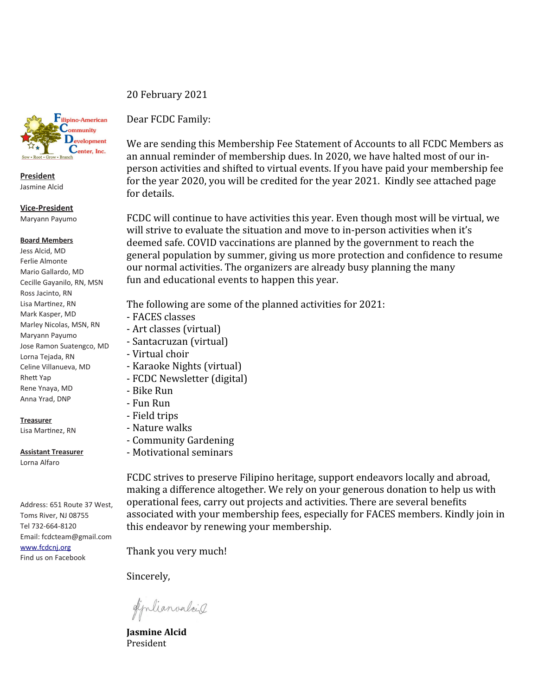

**President** Jasmine Alcid

**Vice-President** Maryann Payumo

## **Board Members**

Jess Alcid, MD Ferlie Almonte Mario Gallardo, MD Cecille Gayanilo, RN, MSN Ross Jacinto, RN Lisa Martinez, RN Mark Kasper, MD Marley Nicolas, MSN, RN Maryann Payumo Jose Ramon Suatengco, MD Lorna Tejada, RN Celine Villanueva, MD Rhett Yap Rene Ynaya, MD Anna Yrad, DNP

## **Treasurer**

Lisa Martinez, RN

**Assistant Treasurer**

Lorna Alfaro

Address: 651 Route 37 West, Toms River, NJ 08755 Tel 732-664-8120 Email: fcdcteam@gmail.com [www.fcdcnj.org](http://www.fcdcnj.org/) Find us on Facebook

20 February 2021 Dear FCDC Family:

We are sending this Membership Fee Statement of Accounts to all FCDC Members as an annual reminder of membership dues. In 2020, we have halted most of our inperson activities and shifted to virtual events. If you have paid your membership fee for the year 2020, you will be credited for the year 2021. Kindly see attached page for details.

FCDC will continue to have activities this year. Even though most will be virtual, we will strive to evaluate the situation and move to in-person activities when it's deemed safe. COVID vaccinations are planned by the government to reach the general population by summer, giving us more protection and confidence to resume our normal activities. The organizers are already busy planning the many fun and educational events to happen this year.

The following are some of the planned activities for 2021:

- FACES classes
- Art classes (virtual)
- Santacruzan (virtual)
- Virtual choir
- Karaoke Nights (virtual)
- FCDC Newsletter (digital)
- Bike Run
- Fun Run
- Field trips
- Nature walks
- Community Gardening
- Motivational seminars

FCDC strives to preserve Filipino heritage, support endeavors locally and abroad, making a difference altogether. We rely on your generous donation to help us with operational fees, carry out projects and activities. There are several benefits associated with your membership fees, especially for FACES members. Kindly join in this endeavor by renewing your membership.

Thank you very much!

Sincerely,

diplianvalais

**Jasmine Alcid**  President